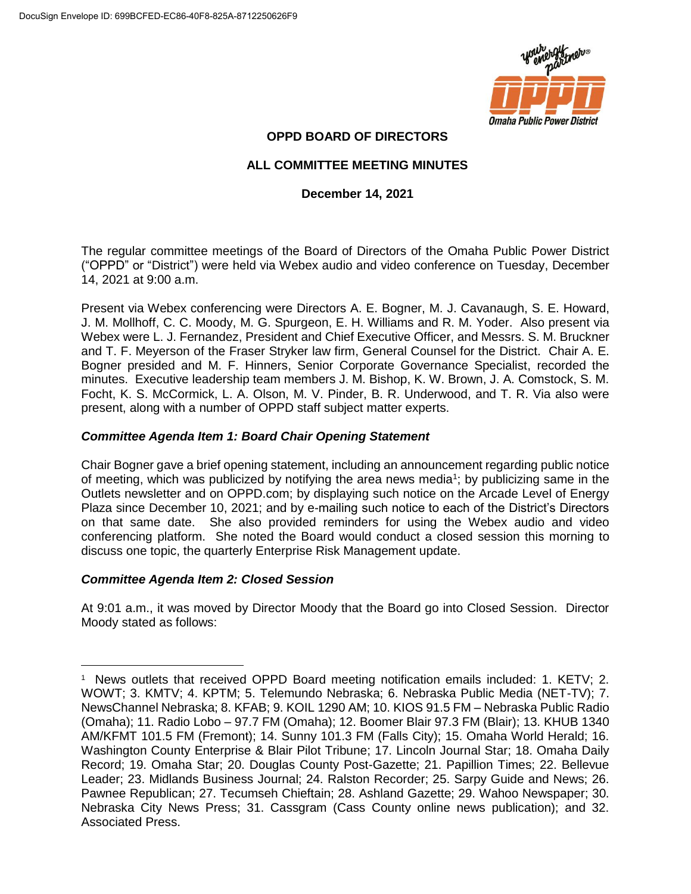

# **OPPD BOARD OF DIRECTORS**

# **ALL COMMITTEE MEETING MINUTES**

# **December 14, 2021**

The regular committee meetings of the Board of Directors of the Omaha Public Power District ("OPPD" or "District") were held via Webex audio and video conference on Tuesday, December 14, 2021 at 9:00 a.m.

Present via Webex conferencing were Directors A. E. Bogner, M. J. Cavanaugh, S. E. Howard, J. M. Mollhoff, C. C. Moody, M. G. Spurgeon, E. H. Williams and R. M. Yoder. Also present via Webex were L. J. Fernandez, President and Chief Executive Officer, and Messrs. S. M. Bruckner and T. F. Meyerson of the Fraser Stryker law firm, General Counsel for the District. Chair A. E. Bogner presided and M. F. Hinners, Senior Corporate Governance Specialist, recorded the minutes. Executive leadership team members J. M. Bishop, K. W. Brown, J. A. Comstock, S. M. Focht, K. S. McCormick, L. A. Olson, M. V. Pinder, B. R. Underwood, and T. R. Via also were present, along with a number of OPPD staff subject matter experts.

# *Committee Agenda Item 1: Board Chair Opening Statement*

Chair Bogner gave a brief opening statement, including an announcement regarding public notice of meeting, which was publicized by notifying the area news media<sup>1</sup>; by publicizing same in the Outlets newsletter and on OPPD.com; by displaying such notice on the Arcade Level of Energy Plaza since December 10, 2021; and by e-mailing such notice to each of the District's Directors on that same date. She also provided reminders for using the Webex audio and video conferencing platform. She noted the Board would conduct a closed session this morning to discuss one topic, the quarterly Enterprise Risk Management update.

# *Committee Agenda Item 2: Closed Session*

At 9:01 a.m., it was moved by Director Moody that the Board go into Closed Session. Director Moody stated as follows:

 $\overline{a}$ <sup>1</sup> News outlets that received OPPD Board meeting notification emails included: 1. KETV; 2. WOWT; 3. KMTV; 4. KPTM; 5. Telemundo Nebraska; 6. Nebraska Public Media (NET-TV); 7. NewsChannel Nebraska; 8. KFAB; 9. KOIL 1290 AM; 10. KIOS 91.5 FM – Nebraska Public Radio (Omaha); 11. Radio Lobo – 97.7 FM (Omaha); 12. Boomer Blair 97.3 FM (Blair); 13. KHUB 1340 AM/KFMT 101.5 FM (Fremont); 14. Sunny 101.3 FM (Falls City); 15. Omaha World Herald; 16. Washington County Enterprise & Blair Pilot Tribune; 17. Lincoln Journal Star; 18. Omaha Daily Record; 19. Omaha Star; 20. Douglas County Post-Gazette; 21. Papillion Times; 22. Bellevue Leader; 23. Midlands Business Journal; 24. Ralston Recorder; 25. Sarpy Guide and News; 26. Pawnee Republican; 27. Tecumseh Chieftain; 28. Ashland Gazette; 29. Wahoo Newspaper; 30. Nebraska City News Press; 31. Cassgram (Cass County online news publication); and 32. Associated Press.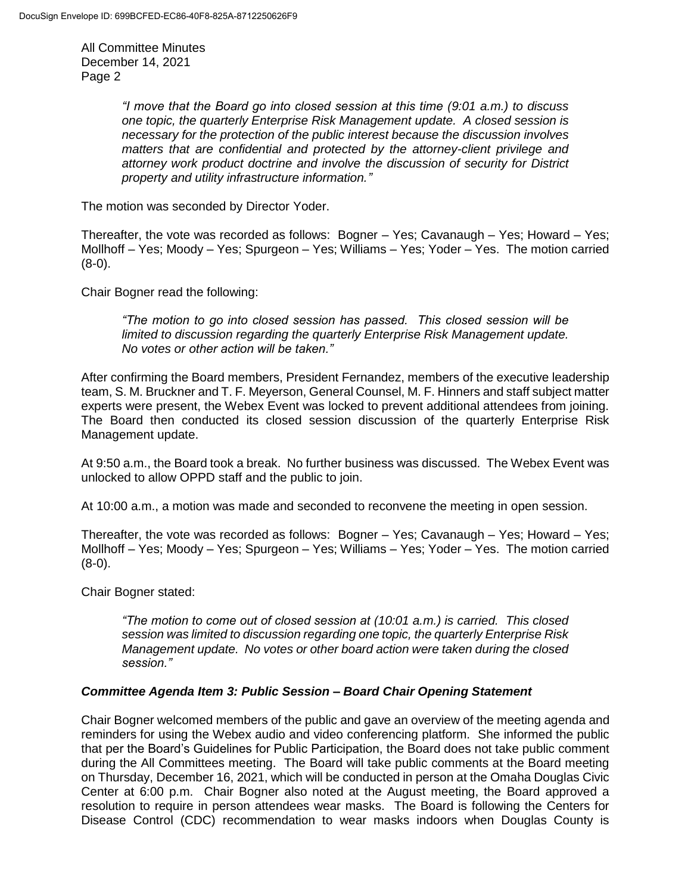> *"I move that the Board go into closed session at this time (9:01 a.m.) to discuss one topic, the quarterly Enterprise Risk Management update. A closed session is necessary for the protection of the public interest because the discussion involves matters that are confidential and protected by the attorney-client privilege and attorney work product doctrine and involve the discussion of security for District property and utility infrastructure information."*

The motion was seconded by Director Yoder.

Thereafter, the vote was recorded as follows: Bogner – Yes; Cavanaugh – Yes; Howard – Yes; Mollhoff – Yes; Moody – Yes; Spurgeon – Yes; Williams – Yes; Yoder – Yes. The motion carried (8-0).

Chair Bogner read the following:

*"The motion to go into closed session has passed. This closed session will be limited to discussion regarding the quarterly Enterprise Risk Management update. No votes or other action will be taken."*

After confirming the Board members, President Fernandez, members of the executive leadership team, S. M. Bruckner and T. F. Meyerson, General Counsel, M. F. Hinners and staff subject matter experts were present, the Webex Event was locked to prevent additional attendees from joining. The Board then conducted its closed session discussion of the quarterly Enterprise Risk Management update.

At 9:50 a.m., the Board took a break. No further business was discussed. The Webex Event was unlocked to allow OPPD staff and the public to join.

At 10:00 a.m., a motion was made and seconded to reconvene the meeting in open session.

Thereafter, the vote was recorded as follows: Bogner – Yes; Cavanaugh – Yes; Howard – Yes; Mollhoff – Yes; Moody – Yes; Spurgeon – Yes; Williams – Yes; Yoder – Yes. The motion carried (8-0).

Chair Bogner stated:

*"The motion to come out of closed session at (10:01 a.m.) is carried. This closed session was limited to discussion regarding one topic, the quarterly Enterprise Risk Management update. No votes or other board action were taken during the closed session."* 

# *Committee Agenda Item 3: Public Session – Board Chair Opening Statement*

Chair Bogner welcomed members of the public and gave an overview of the meeting agenda and reminders for using the Webex audio and video conferencing platform. She informed the public that per the Board's Guidelines for Public Participation, the Board does not take public comment during the All Committees meeting. The Board will take public comments at the Board meeting on Thursday, December 16, 2021, which will be conducted in person at the Omaha Douglas Civic Center at 6:00 p.m. Chair Bogner also noted at the August meeting, the Board approved a resolution to require in person attendees wear masks. The Board is following the Centers for Disease Control (CDC) recommendation to wear masks indoors when Douglas County is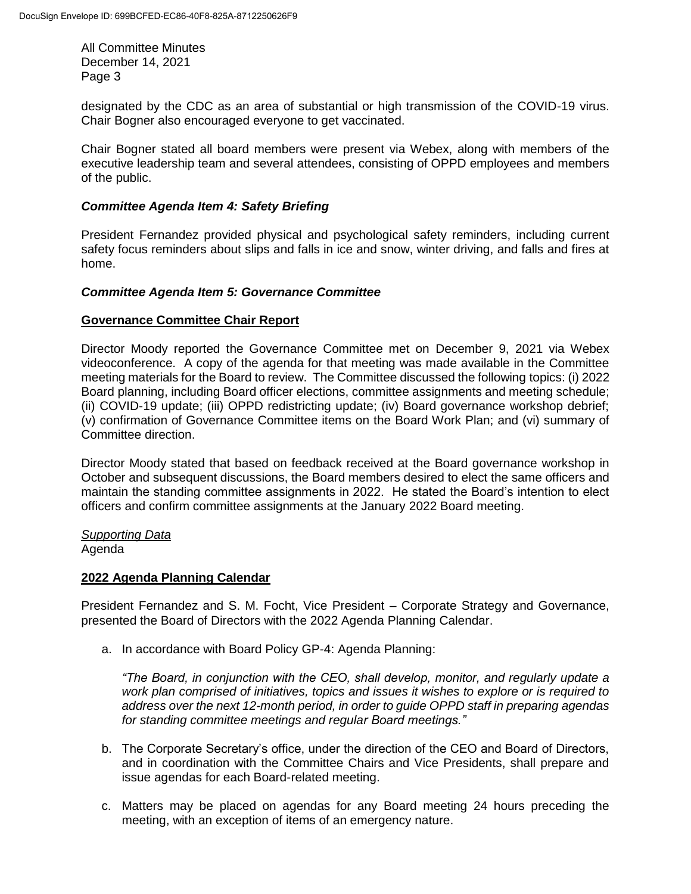designated by the CDC as an area of substantial or high transmission of the COVID-19 virus. Chair Bogner also encouraged everyone to get vaccinated.

Chair Bogner stated all board members were present via Webex, along with members of the executive leadership team and several attendees, consisting of OPPD employees and members of the public.

#### *Committee Agenda Item 4: Safety Briefing*

President Fernandez provided physical and psychological safety reminders, including current safety focus reminders about slips and falls in ice and snow, winter driving, and falls and fires at home.

#### *Committee Agenda Item 5: Governance Committee*

#### **Governance Committee Chair Report**

Director Moody reported the Governance Committee met on December 9, 2021 via Webex videoconference. A copy of the agenda for that meeting was made available in the Committee meeting materials for the Board to review. The Committee discussed the following topics: (i) 2022 Board planning, including Board officer elections, committee assignments and meeting schedule; (ii) COVID-19 update; (iii) OPPD redistricting update; (iv) Board governance workshop debrief; (v) confirmation of Governance Committee items on the Board Work Plan; and (vi) summary of Committee direction.

Director Moody stated that based on feedback received at the Board governance workshop in October and subsequent discussions, the Board members desired to elect the same officers and maintain the standing committee assignments in 2022. He stated the Board's intention to elect officers and confirm committee assignments at the January 2022 Board meeting.

# *Supporting Data*

Agenda

# **2022 Agenda Planning Calendar**

President Fernandez and S. M. Focht, Vice President – Corporate Strategy and Governance, presented the Board of Directors with the 2022 Agenda Planning Calendar.

a. In accordance with Board Policy GP-4: Agenda Planning:

*"The Board, in conjunction with the CEO, shall develop, monitor, and regularly update a work plan comprised of initiatives, topics and issues it wishes to explore or is required to address over the next 12-month period, in order to guide OPPD staff in preparing agendas for standing committee meetings and regular Board meetings."*

- b. The Corporate Secretary's office, under the direction of the CEO and Board of Directors, and in coordination with the Committee Chairs and Vice Presidents, shall prepare and issue agendas for each Board-related meeting.
- c. Matters may be placed on agendas for any Board meeting 24 hours preceding the meeting, with an exception of items of an emergency nature.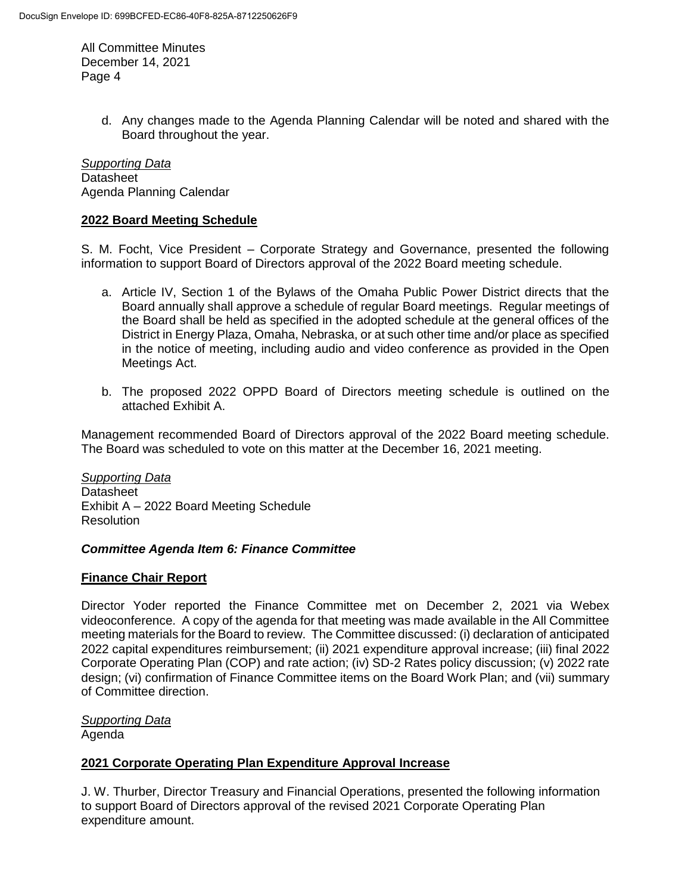> d. Any changes made to the Agenda Planning Calendar will be noted and shared with the Board throughout the year.

# *Supporting Data* **Datasheet** Agenda Planning Calendar

# **2022 Board Meeting Schedule**

S. M. Focht, Vice President – Corporate Strategy and Governance, presented the following information to support Board of Directors approval of the 2022 Board meeting schedule.

- a. Article IV, Section 1 of the Bylaws of the Omaha Public Power District directs that the Board annually shall approve a schedule of regular Board meetings. Regular meetings of the Board shall be held as specified in the adopted schedule at the general offices of the District in Energy Plaza, Omaha, Nebraska, or at such other time and/or place as specified in the notice of meeting, including audio and video conference as provided in the Open Meetings Act.
- b. The proposed 2022 OPPD Board of Directors meeting schedule is outlined on the attached Exhibit A.

Management recommended Board of Directors approval of the 2022 Board meeting schedule. The Board was scheduled to vote on this matter at the December 16, 2021 meeting.

*Supporting Data* **Datasheet** Exhibit A – 2022 Board Meeting Schedule **Resolution** 

# *Committee Agenda Item 6: Finance Committee*

# **Finance Chair Report**

Director Yoder reported the Finance Committee met on December 2, 2021 via Webex videoconference. A copy of the agenda for that meeting was made available in the All Committee meeting materials for the Board to review. The Committee discussed: (i) declaration of anticipated 2022 capital expenditures reimbursement; (ii) 2021 expenditure approval increase; (iii) final 2022 Corporate Operating Plan (COP) and rate action; (iv) SD-2 Rates policy discussion; (v) 2022 rate design; (vi) confirmation of Finance Committee items on the Board Work Plan; and (vii) summary of Committee direction.

*Supporting Data* Agenda

# **2021 Corporate Operating Plan Expenditure Approval Increase**

J. W. Thurber, Director Treasury and Financial Operations, presented the following information to support Board of Directors approval of the revised 2021 Corporate Operating Plan expenditure amount.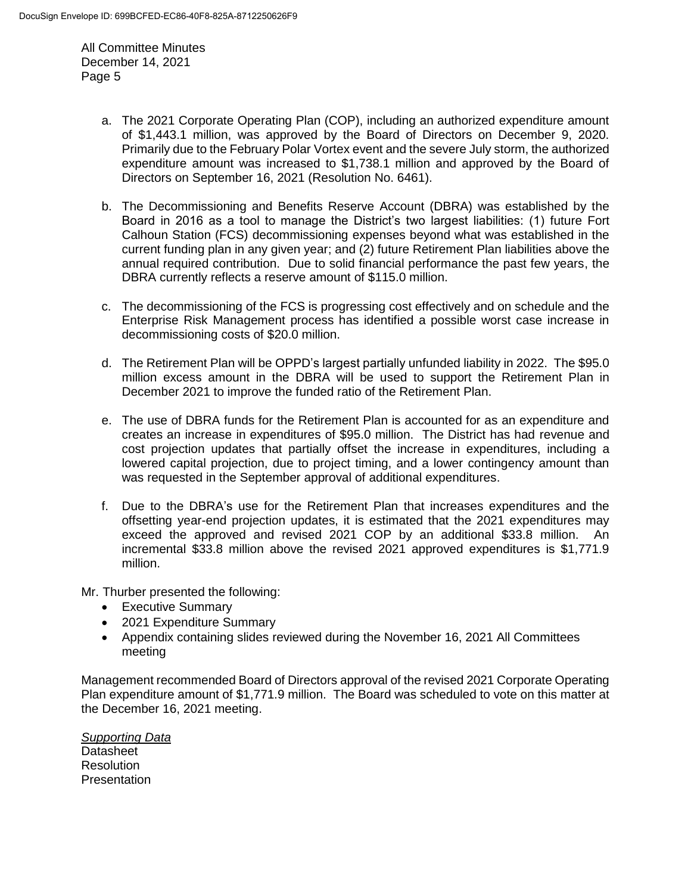- a. The 2021 Corporate Operating Plan (COP), including an authorized expenditure amount of \$1,443.1 million, was approved by the Board of Directors on December 9, 2020. Primarily due to the February Polar Vortex event and the severe July storm, the authorized expenditure amount was increased to \$1,738.1 million and approved by the Board of Directors on September 16, 2021 (Resolution No. 6461).
- b. The Decommissioning and Benefits Reserve Account (DBRA) was established by the Board in 2016 as a tool to manage the District's two largest liabilities: (1) future Fort Calhoun Station (FCS) decommissioning expenses beyond what was established in the current funding plan in any given year; and (2) future Retirement Plan liabilities above the annual required contribution. Due to solid financial performance the past few years, the DBRA currently reflects a reserve amount of \$115.0 million.
- c. The decommissioning of the FCS is progressing cost effectively and on schedule and the Enterprise Risk Management process has identified a possible worst case increase in decommissioning costs of \$20.0 million.
- d. The Retirement Plan will be OPPD's largest partially unfunded liability in 2022. The \$95.0 million excess amount in the DBRA will be used to support the Retirement Plan in December 2021 to improve the funded ratio of the Retirement Plan.
- e. The use of DBRA funds for the Retirement Plan is accounted for as an expenditure and creates an increase in expenditures of \$95.0 million. The District has had revenue and cost projection updates that partially offset the increase in expenditures, including a lowered capital projection, due to project timing, and a lower contingency amount than was requested in the September approval of additional expenditures.
- f. Due to the DBRA's use for the Retirement Plan that increases expenditures and the offsetting year-end projection updates, it is estimated that the 2021 expenditures may exceed the approved and revised 2021 COP by an additional \$33.8 million. An incremental \$33.8 million above the revised 2021 approved expenditures is \$1,771.9 million.

Mr. Thurber presented the following:

- Executive Summary
- 2021 Expenditure Summary
- Appendix containing slides reviewed during the November 16, 2021 All Committees meeting

Management recommended Board of Directors approval of the revised 2021 Corporate Operating Plan expenditure amount of \$1,771.9 million. The Board was scheduled to vote on this matter at the December 16, 2021 meeting.

*Supporting Data* **Datasheet Resolution Presentation**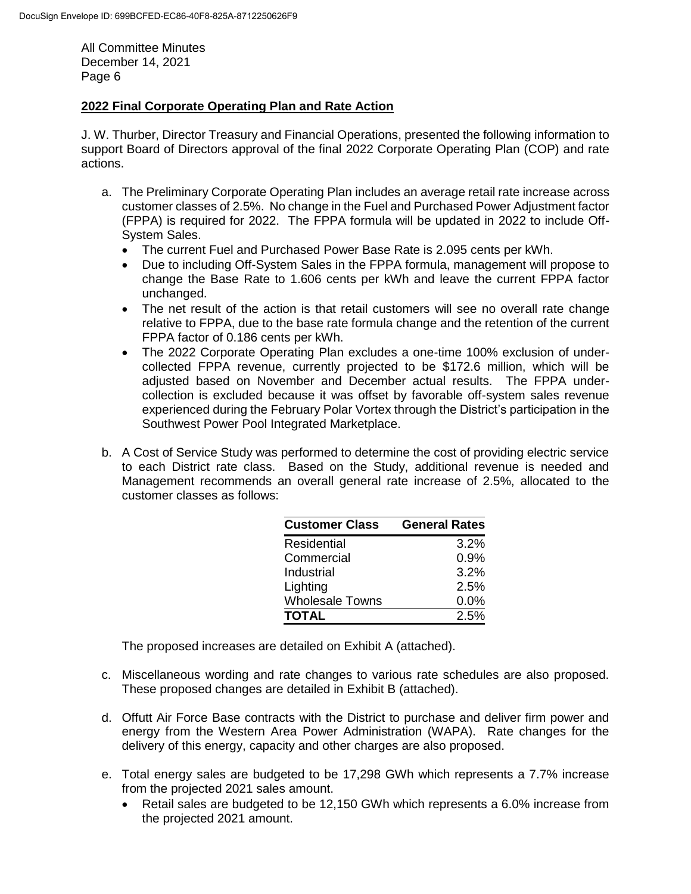# **2022 Final Corporate Operating Plan and Rate Action**

J. W. Thurber, Director Treasury and Financial Operations, presented the following information to support Board of Directors approval of the final 2022 Corporate Operating Plan (COP) and rate actions.

- a. The Preliminary Corporate Operating Plan includes an average retail rate increase across customer classes of 2.5%. No change in the Fuel and Purchased Power Adjustment factor (FPPA) is required for 2022. The FPPA formula will be updated in 2022 to include Off-System Sales.
	- The current Fuel and Purchased Power Base Rate is 2.095 cents per kWh.
	- Due to including Off-System Sales in the FPPA formula, management will propose to change the Base Rate to 1.606 cents per kWh and leave the current FPPA factor unchanged.
	- The net result of the action is that retail customers will see no overall rate change relative to FPPA, due to the base rate formula change and the retention of the current FPPA factor of 0.186 cents per kWh.
	- The 2022 Corporate Operating Plan excludes a one-time 100% exclusion of undercollected FPPA revenue, currently projected to be \$172.6 million, which will be adjusted based on November and December actual results. The FPPA undercollection is excluded because it was offset by favorable off-system sales revenue experienced during the February Polar Vortex through the District's participation in the Southwest Power Pool Integrated Marketplace.
- b. A Cost of Service Study was performed to determine the cost of providing electric service to each District rate class. Based on the Study, additional revenue is needed and Management recommends an overall general rate increase of 2.5%, allocated to the customer classes as follows:

| <b>Customer Class</b>  | <b>General Rates</b> |
|------------------------|----------------------|
| <b>Residential</b>     | 3.2%                 |
| Commercial             | 0.9%                 |
| Industrial             | 3.2%                 |
| Lighting               | 2.5%                 |
| <b>Wholesale Towns</b> | 0.0%                 |
| <b>TOTAL</b>           | 2.5%                 |

The proposed increases are detailed on Exhibit A (attached).

- c. Miscellaneous wording and rate changes to various rate schedules are also proposed. These proposed changes are detailed in Exhibit B (attached).
- d. Offutt Air Force Base contracts with the District to purchase and deliver firm power and energy from the Western Area Power Administration (WAPA). Rate changes for the delivery of this energy, capacity and other charges are also proposed.
- e. Total energy sales are budgeted to be 17,298 GWh which represents a 7.7% increase from the projected 2021 sales amount.
	- Retail sales are budgeted to be 12,150 GWh which represents a 6.0% increase from the projected 2021 amount.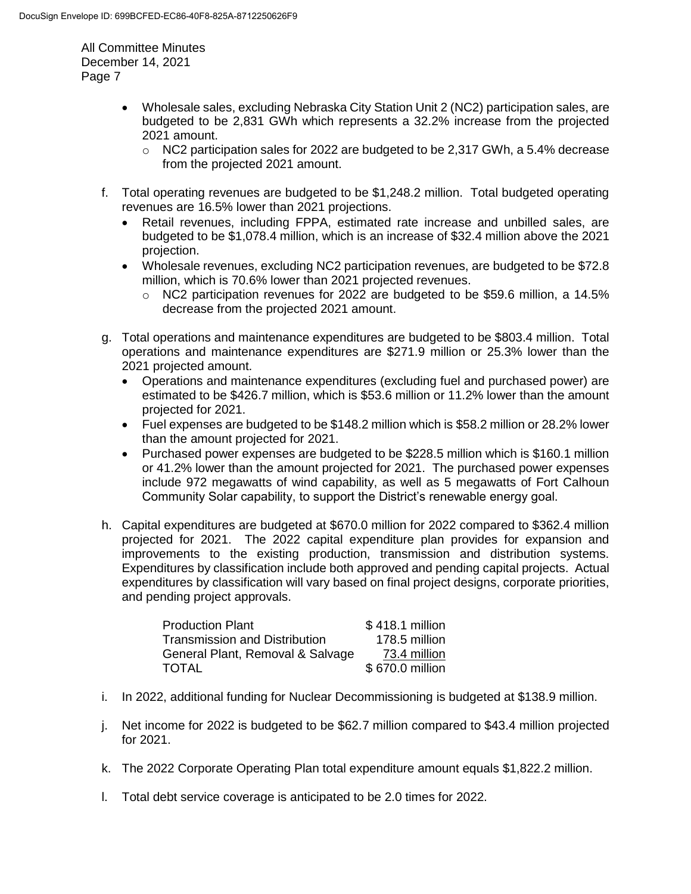- Wholesale sales, excluding Nebraska City Station Unit 2 (NC2) participation sales, are budgeted to be 2,831 GWh which represents a 32.2% increase from the projected 2021 amount.
	- $\circ$  NC2 participation sales for 2022 are budgeted to be 2,317 GWh, a 5.4% decrease from the projected 2021 amount.
- f. Total operating revenues are budgeted to be \$1,248.2 million. Total budgeted operating revenues are 16.5% lower than 2021 projections.
	- Retail revenues, including FPPA, estimated rate increase and unbilled sales, are budgeted to be \$1,078.4 million, which is an increase of \$32.4 million above the 2021 projection.
	- Wholesale revenues, excluding NC2 participation revenues, are budgeted to be \$72.8 million, which is 70.6% lower than 2021 projected revenues.
		- $\circ$  NC2 participation revenues for 2022 are budgeted to be \$59.6 million, a 14.5% decrease from the projected 2021 amount.
- g. Total operations and maintenance expenditures are budgeted to be \$803.4 million. Total operations and maintenance expenditures are \$271.9 million or 25.3% lower than the 2021 projected amount.
	- Operations and maintenance expenditures (excluding fuel and purchased power) are estimated to be \$426.7 million, which is \$53.6 million or 11.2% lower than the amount projected for 2021.
	- Fuel expenses are budgeted to be \$148.2 million which is \$58.2 million or 28.2% lower than the amount projected for 2021.
	- Purchased power expenses are budgeted to be \$228.5 million which is \$160.1 million or 41.2% lower than the amount projected for 2021. The purchased power expenses include 972 megawatts of wind capability, as well as 5 megawatts of Fort Calhoun Community Solar capability, to support the District's renewable energy goal.
- h. Capital expenditures are budgeted at \$670.0 million for 2022 compared to \$362.4 million projected for 2021. The 2022 capital expenditure plan provides for expansion and improvements to the existing production, transmission and distribution systems. Expenditures by classification include both approved and pending capital projects. Actual expenditures by classification will vary based on final project designs, corporate priorities, and pending project approvals.

| <b>Production Plant</b>              | \$418.1 million |
|--------------------------------------|-----------------|
| <b>Transmission and Distribution</b> | 178.5 million   |
| General Plant, Removal & Salvage     | 73.4 million    |
| <b>TOTAL</b>                         | \$670.0 million |

- i. In 2022, additional funding for Nuclear Decommissioning is budgeted at \$138.9 million.
- j. Net income for 2022 is budgeted to be \$62.7 million compared to \$43.4 million projected for 2021.
- k. The 2022 Corporate Operating Plan total expenditure amount equals \$1,822.2 million.
- l. Total debt service coverage is anticipated to be 2.0 times for 2022.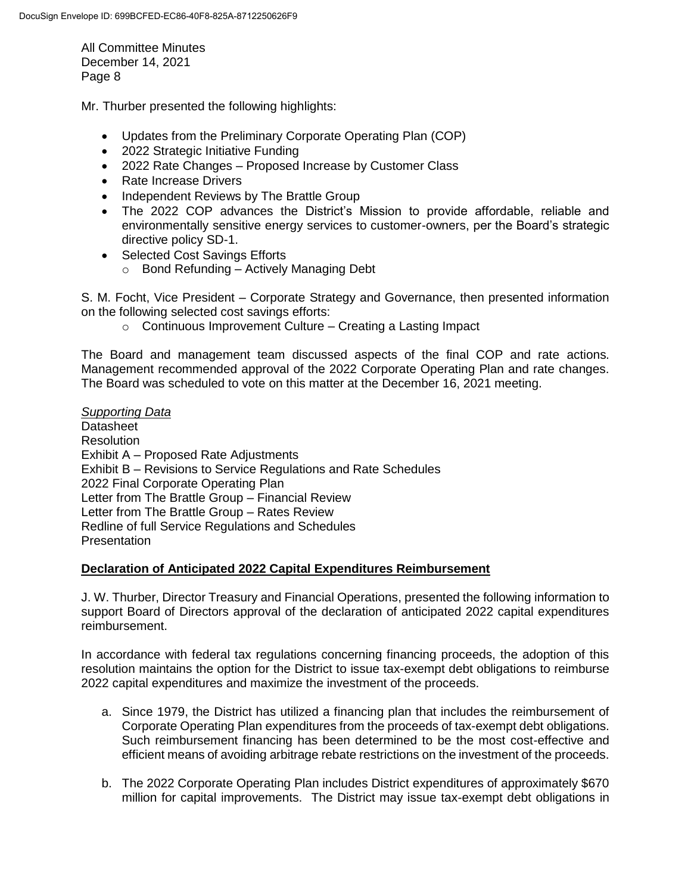Mr. Thurber presented the following highlights:

- Updates from the Preliminary Corporate Operating Plan (COP)
- 2022 Strategic Initiative Funding
- 2022 Rate Changes Proposed Increase by Customer Class
- Rate Increase Drivers
- Independent Reviews by The Brattle Group
- The 2022 COP advances the District's Mission to provide affordable, reliable and environmentally sensitive energy services to customer-owners, per the Board's strategic directive policy SD-1.
- Selected Cost Savings Efforts
	- o Bond Refunding Actively Managing Debt

S. M. Focht, Vice President – Corporate Strategy and Governance, then presented information on the following selected cost savings efforts:

 $\circ$  Continuous Improvement Culture – Creating a Lasting Impact

The Board and management team discussed aspects of the final COP and rate actions. Management recommended approval of the 2022 Corporate Operating Plan and rate changes. The Board was scheduled to vote on this matter at the December 16, 2021 meeting.

*Supporting Data* Datasheet **Resolution** Exhibit A – Proposed Rate Adjustments Exhibit B – Revisions to Service Regulations and Rate Schedules 2022 Final Corporate Operating Plan Letter from The Brattle Group – Financial Review Letter from The Brattle Group – Rates Review Redline of full Service Regulations and Schedules **Presentation** 

# **Declaration of Anticipated 2022 Capital Expenditures Reimbursement**

J. W. Thurber, Director Treasury and Financial Operations, presented the following information to support Board of Directors approval of the declaration of anticipated 2022 capital expenditures reimbursement.

In accordance with federal tax regulations concerning financing proceeds, the adoption of this resolution maintains the option for the District to issue tax-exempt debt obligations to reimburse 2022 capital expenditures and maximize the investment of the proceeds.

- a. Since 1979, the District has utilized a financing plan that includes the reimbursement of Corporate Operating Plan expenditures from the proceeds of tax-exempt debt obligations. Such reimbursement financing has been determined to be the most cost-effective and efficient means of avoiding arbitrage rebate restrictions on the investment of the proceeds.
- b. The 2022 Corporate Operating Plan includes District expenditures of approximately \$670 million for capital improvements. The District may issue tax-exempt debt obligations in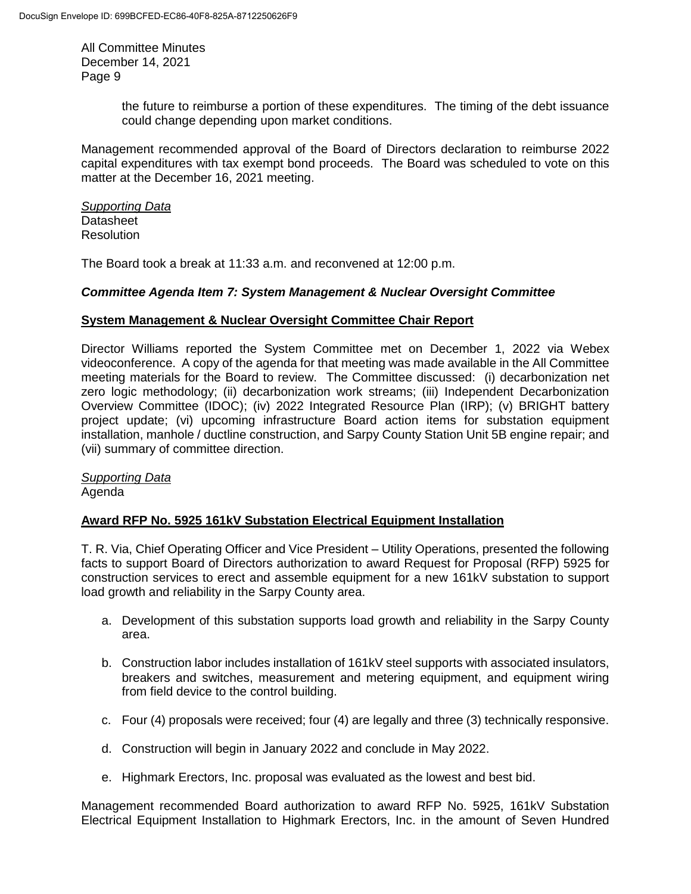> the future to reimburse a portion of these expenditures. The timing of the debt issuance could change depending upon market conditions.

Management recommended approval of the Board of Directors declaration to reimburse 2022 capital expenditures with tax exempt bond proceeds. The Board was scheduled to vote on this matter at the December 16, 2021 meeting.

*Supporting Data* **Datasheet Resolution** 

The Board took a break at 11:33 a.m. and reconvened at 12:00 p.m.

# *Committee Agenda Item 7: System Management & Nuclear Oversight Committee*

#### **System Management & Nuclear Oversight Committee Chair Report**

Director Williams reported the System Committee met on December 1, 2022 via Webex videoconference. A copy of the agenda for that meeting was made available in the All Committee meeting materials for the Board to review. The Committee discussed: (i) decarbonization net zero logic methodology; (ii) decarbonization work streams; (iii) Independent Decarbonization Overview Committee (IDOC); (iv) 2022 Integrated Resource Plan (IRP); (v) BRIGHT battery project update; (vi) upcoming infrastructure Board action items for substation equipment installation, manhole / ductline construction, and Sarpy County Station Unit 5B engine repair; and (vii) summary of committee direction.

*Supporting Data* Agenda

#### **Award RFP No. 5925 161kV Substation Electrical Equipment Installation**

T. R. Via, Chief Operating Officer and Vice President – Utility Operations, presented the following facts to support Board of Directors authorization to award Request for Proposal (RFP) 5925 for construction services to erect and assemble equipment for a new 161kV substation to support load growth and reliability in the Sarpy County area.

- a. Development of this substation supports load growth and reliability in the Sarpy County area.
- b. Construction labor includes installation of 161kV steel supports with associated insulators, breakers and switches, measurement and metering equipment, and equipment wiring from field device to the control building.
- c. Four (4) proposals were received; four (4) are legally and three (3) technically responsive.
- d. Construction will begin in January 2022 and conclude in May 2022.
- e. Highmark Erectors, Inc. proposal was evaluated as the lowest and best bid.

Management recommended Board authorization to award RFP No. 5925, 161kV Substation Electrical Equipment Installation to Highmark Erectors, Inc. in the amount of Seven Hundred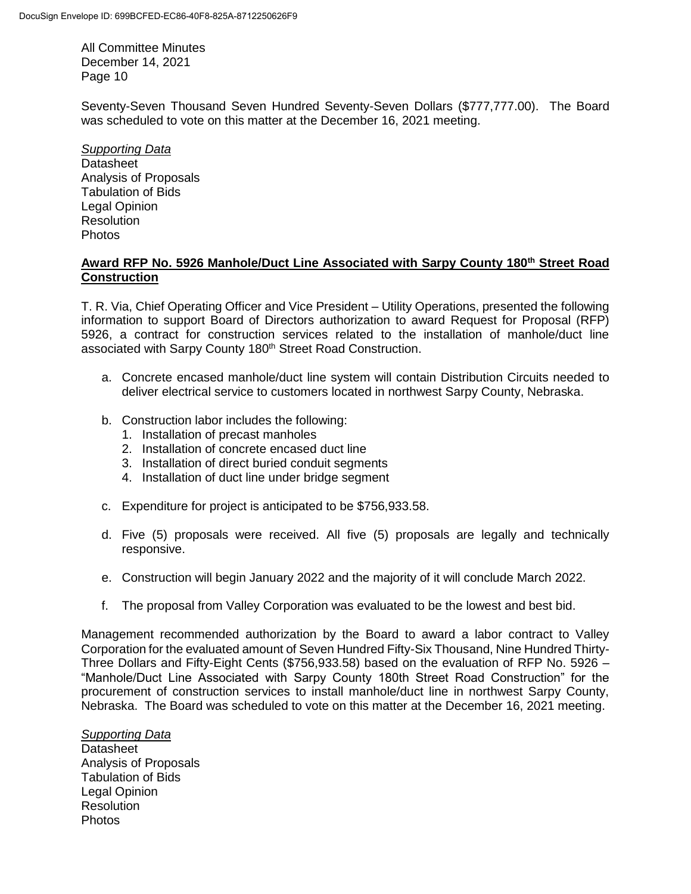Seventy-Seven Thousand Seven Hundred Seventy-Seven Dollars (\$777,777.00). The Board was scheduled to vote on this matter at the December 16, 2021 meeting.

*Supporting Data* **Datasheet** Analysis of Proposals Tabulation of Bids Legal Opinion **Resolution** Photos

#### **Award RFP No. 5926 Manhole/Duct Line Associated with Sarpy County 180th Street Road Construction**

T. R. Via, Chief Operating Officer and Vice President – Utility Operations, presented the following information to support Board of Directors authorization to award Request for Proposal (RFP) 5926, a contract for construction services related to the installation of manhole/duct line associated with Sarpy County 180<sup>th</sup> Street Road Construction.

- a. Concrete encased manhole/duct line system will contain Distribution Circuits needed to deliver electrical service to customers located in northwest Sarpy County, Nebraska.
- b. Construction labor includes the following:
	- 1. Installation of precast manholes
	- 2. Installation of concrete encased duct line
	- 3. Installation of direct buried conduit segments
	- 4. Installation of duct line under bridge segment
- c. Expenditure for project is anticipated to be \$756,933.58.
- d. Five (5) proposals were received. All five (5) proposals are legally and technically responsive.
- e. Construction will begin January 2022 and the majority of it will conclude March 2022.
- f. The proposal from Valley Corporation was evaluated to be the lowest and best bid.

Management recommended authorization by the Board to award a labor contract to Valley Corporation for the evaluated amount of Seven Hundred Fifty-Six Thousand, Nine Hundred Thirty-Three Dollars and Fifty-Eight Cents (\$756,933.58) based on the evaluation of RFP No. 5926 – "Manhole/Duct Line Associated with Sarpy County 180th Street Road Construction" for the procurement of construction services to install manhole/duct line in northwest Sarpy County, Nebraska. The Board was scheduled to vote on this matter at the December 16, 2021 meeting.

*Supporting Data* **Datasheet** Analysis of Proposals Tabulation of Bids Legal Opinion **Resolution** Photos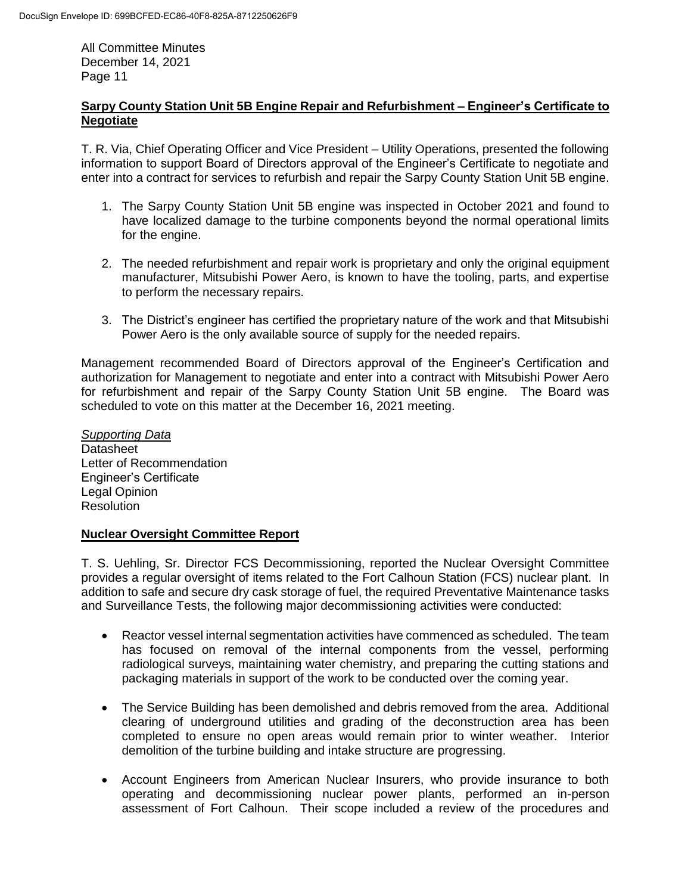# **Sarpy County Station Unit 5B Engine Repair and Refurbishment – Engineer's Certificate to Negotiate**

T. R. Via, Chief Operating Officer and Vice President – Utility Operations, presented the following information to support Board of Directors approval of the Engineer's Certificate to negotiate and enter into a contract for services to refurbish and repair the Sarpy County Station Unit 5B engine.

- 1. The Sarpy County Station Unit 5B engine was inspected in October 2021 and found to have localized damage to the turbine components beyond the normal operational limits for the engine.
- 2. The needed refurbishment and repair work is proprietary and only the original equipment manufacturer, Mitsubishi Power Aero, is known to have the tooling, parts, and expertise to perform the necessary repairs.
- 3. The District's engineer has certified the proprietary nature of the work and that Mitsubishi Power Aero is the only available source of supply for the needed repairs.

Management recommended Board of Directors approval of the Engineer's Certification and authorization for Management to negotiate and enter into a contract with Mitsubishi Power Aero for refurbishment and repair of the Sarpy County Station Unit 5B engine. The Board was scheduled to vote on this matter at the December 16, 2021 meeting.

*Supporting Data* **Datasheet** Letter of Recommendation Engineer's Certificate Legal Opinion **Resolution** 

# **Nuclear Oversight Committee Report**

T. S. Uehling, Sr. Director FCS Decommissioning, reported the Nuclear Oversight Committee provides a regular oversight of items related to the Fort Calhoun Station (FCS) nuclear plant. In addition to safe and secure dry cask storage of fuel, the required Preventative Maintenance tasks and Surveillance Tests, the following major decommissioning activities were conducted:

- Reactor vessel internal segmentation activities have commenced as scheduled. The team has focused on removal of the internal components from the vessel, performing radiological surveys, maintaining water chemistry, and preparing the cutting stations and packaging materials in support of the work to be conducted over the coming year.
- The Service Building has been demolished and debris removed from the area. Additional clearing of underground utilities and grading of the deconstruction area has been completed to ensure no open areas would remain prior to winter weather. Interior demolition of the turbine building and intake structure are progressing.
- Account Engineers from American Nuclear Insurers, who provide insurance to both operating and decommissioning nuclear power plants, performed an in-person assessment of Fort Calhoun. Their scope included a review of the procedures and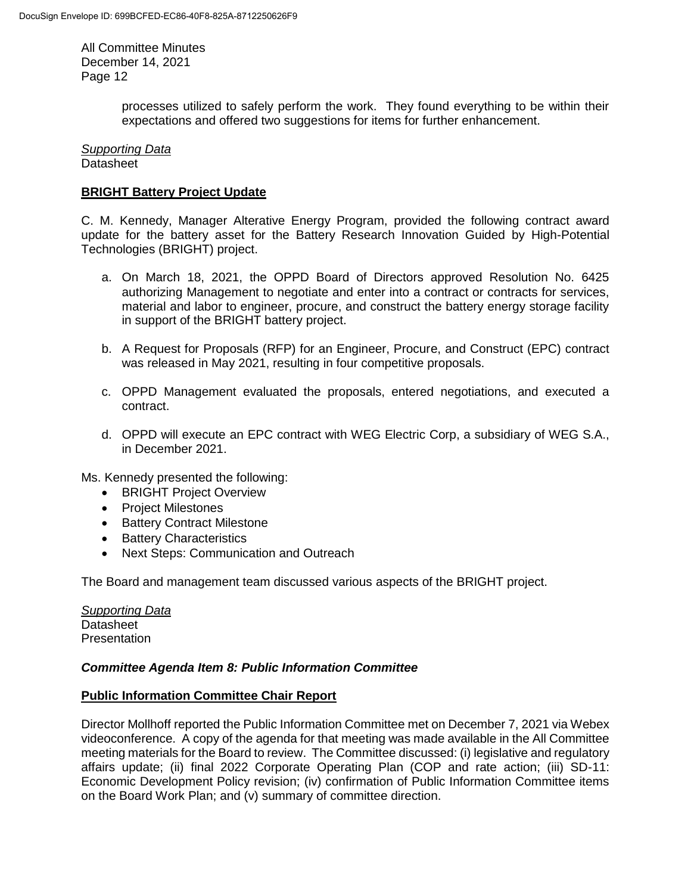> processes utilized to safely perform the work. They found everything to be within their expectations and offered two suggestions for items for further enhancement.

*Supporting Data* **Datasheet** 

#### **BRIGHT Battery Project Update**

C. M. Kennedy, Manager Alterative Energy Program, provided the following contract award update for the battery asset for the Battery Research Innovation Guided by High-Potential Technologies (BRIGHT) project.

- a. On March 18, 2021, the OPPD Board of Directors approved Resolution No. 6425 authorizing Management to negotiate and enter into a contract or contracts for services, material and labor to engineer, procure, and construct the battery energy storage facility in support of the BRIGHT battery project.
- b. A Request for Proposals (RFP) for an Engineer, Procure, and Construct (EPC) contract was released in May 2021, resulting in four competitive proposals.
- c. OPPD Management evaluated the proposals, entered negotiations, and executed a contract.
- d. OPPD will execute an EPC contract with WEG Electric Corp, a subsidiary of WEG S.A., in December 2021.

Ms. Kennedy presented the following:

- BRIGHT Project Overview
- Project Milestones
- Battery Contract Milestone
- Battery Characteristics
- Next Steps: Communication and Outreach

The Board and management team discussed various aspects of the BRIGHT project.

*Supporting Data* **Datasheet Presentation** 

#### *Committee Agenda Item 8: Public Information Committee*

#### **Public Information Committee Chair Report**

Director Mollhoff reported the Public Information Committee met on December 7, 2021 via Webex videoconference. A copy of the agenda for that meeting was made available in the All Committee meeting materials for the Board to review. The Committee discussed: (i) legislative and regulatory affairs update; (ii) final 2022 Corporate Operating Plan (COP and rate action; (iii) SD-11: Economic Development Policy revision; (iv) confirmation of Public Information Committee items on the Board Work Plan; and (v) summary of committee direction.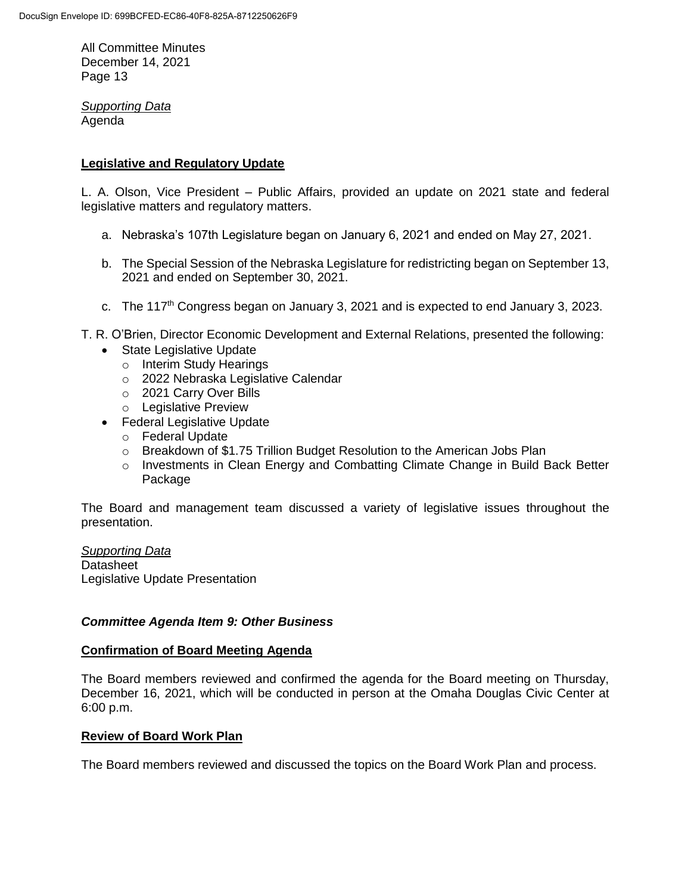*Supporting Data* Agenda

#### **Legislative and Regulatory Update**

L. A. Olson, Vice President – Public Affairs, provided an update on 2021 state and federal legislative matters and regulatory matters.

- a. Nebraska's 107th Legislature began on January 6, 2021 and ended on May 27, 2021.
- b. The Special Session of the Nebraska Legislature for redistricting began on September 13, 2021 and ended on September 30, 2021.
- c. The 117<sup>th</sup> Congress began on January 3, 2021 and is expected to end January 3, 2023.
- T. R. O'Brien, Director Economic Development and External Relations, presented the following:
	- State Legislative Update
		- o Interim Study Hearings
		- o 2022 Nebraska Legislative Calendar
		- o 2021 Carry Over Bills
		- o Legislative Preview
	- Federal Legislative Update
		- o Federal Update
		- $\circ$  Breakdown of \$1.75 Trillion Budget Resolution to the American Jobs Plan
		- o Investments in Clean Energy and Combatting Climate Change in Build Back Better Package

The Board and management team discussed a variety of legislative issues throughout the presentation.

*Supporting Data* **Datasheet** Legislative Update Presentation

#### *Committee Agenda Item 9: Other Business*

#### **Confirmation of Board Meeting Agenda**

The Board members reviewed and confirmed the agenda for the Board meeting on Thursday, December 16, 2021, which will be conducted in person at the Omaha Douglas Civic Center at 6:00 p.m.

#### **Review of Board Work Plan**

The Board members reviewed and discussed the topics on the Board Work Plan and process.